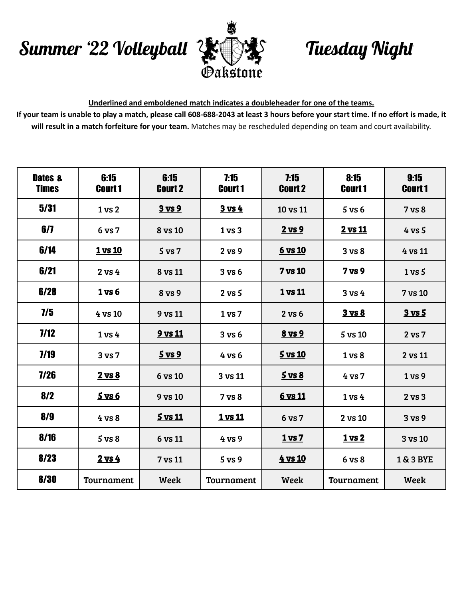## Summer '22 Volleyball Tuesday Night



## **Underlined and emboldened match indicates a doubleheader for one of the teams.**

If your team is unable to play a match, please call 608-688-2043 at least 3 hours before your start time. If no effort is made, it **will result in a match forfeiture for your team.** Matches may be rescheduled depending on team and court availability.

| <b>Dates &amp;</b><br><b>Times</b> | 6:15<br><b>Court 1</b> | 6:15<br><b>Court 2</b> | 7:15<br><b>Court 1</b> | 7:15<br><b>Court 2</b> | 8:15<br><b>Court 1</b> | 9:15<br><b>Court 1</b> |
|------------------------------------|------------------------|------------------------|------------------------|------------------------|------------------------|------------------------|
| 5/31                               | 1 vs 2                 | <u>3 vs 9</u>          | <u>3 vs 4</u>          | 10 vs 11               | $5$ vs $6$             | 7 vs 8                 |
| 6/7                                | 6 vs 7                 | 8 vs 10                | 1 <sub>vs</sub> 3      | $2$ vs $9$             | 2 vs 11                | $4$ vs $5$             |
| 6/14                               | <u>1 vs 10</u>         | $5$ vs $7$             | 2 vs 9                 | <u>6 vs 10</u>         | 3 <sub>vs</sub> 8      | 4 vs 11                |
| 6/21                               | $2$ vs $4$             | 8 vs 11                | 3 v s 6                | 7 vs 10                | 7 <sub>vs</sub> 9      | $1 \text{ vs } 5$      |
| 6/28                               | <u>1 vs 6</u>          | 8 vs 9                 | $2$ vs $5$             | <u>1 vs 11</u>         | 3 vs 4                 | 7 vs 10                |
| $\overline{1/5}$                   | 4 vs 10                | 9 vs 11                | 1 <sub>vs</sub> 7      | 2 vs 6                 | <b>3 vs 8</b>          | $3$ vs $5$             |
| 7/12                               | 1 <sub>vs</sub> 4      | <u>9 vs 11</u>         | 3 v s 6                | 8 vs 9                 | 5 vs 10                | 2 vs 7                 |
| 7/19                               | 3 <sub>vs</sub> 7      | <u>5 vs 9</u>          | 4 vs 6                 | <u>5 vs 10</u>         | 1 vs 8                 | 2 vs 11                |
| 7/26                               | $2 \text{ vs } 8$      | 6 vs 10                | 3 vs 11                | $5 \text{ vs } 8$      | 4 vs 7                 | 1 vs 9                 |
| 8/2                                | <u>5 vs 6</u>          | 9 vs 10                | 7 vs 8                 | <u>6 vs 11</u>         | 1 <sub>vs</sub> 4      | $2$ vs $3$             |
| 8/9                                | 4 vs 8                 | $5$ vs 11              | 1 vs 11                | 6 vs 7                 | 2 vs 10                | 3 vs 9                 |
| 8/16                               | $5$ vs $8$             | 6 vs 11                | 4 vs 9                 | <u>1 vs 7</u>          | <u>1 vs 2</u>          | 3 vs 10                |
| 8/23                               | $2$ vs $4$             | 7 vs 11                | 5 <sub>vs</sub> 9      | 4 vs 10                | 6 vs 8                 | 1 & 3 BYE              |
| 8/30                               | Tournament             | Week                   | Tournament             | Week                   | Tournament             | Week                   |